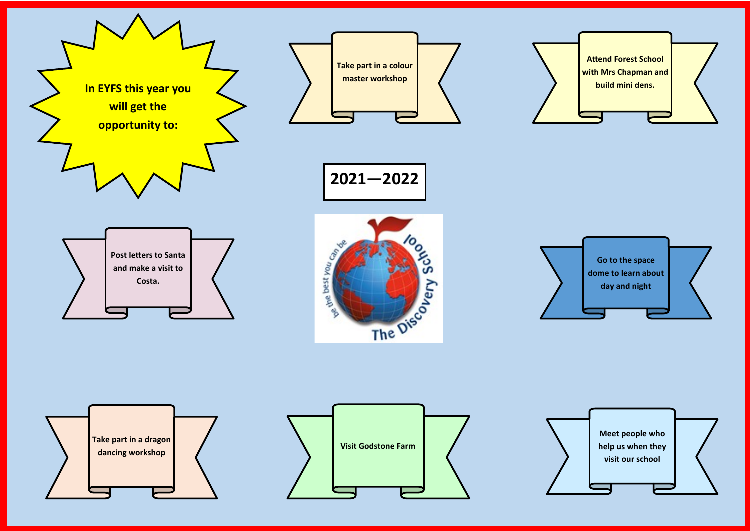



**2021—2022**







**Attend Forest School with Mrs Chapman and build mini dens.**





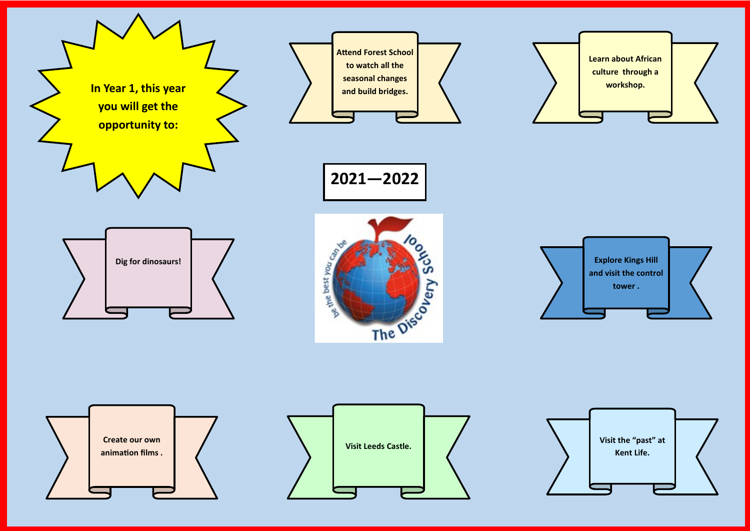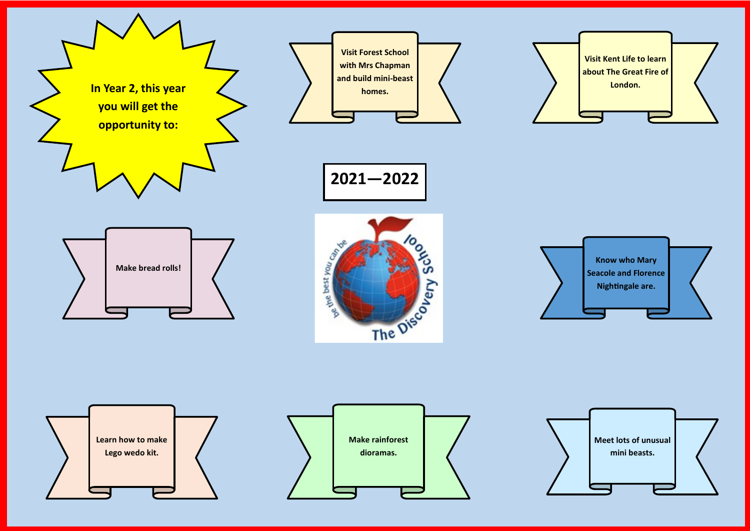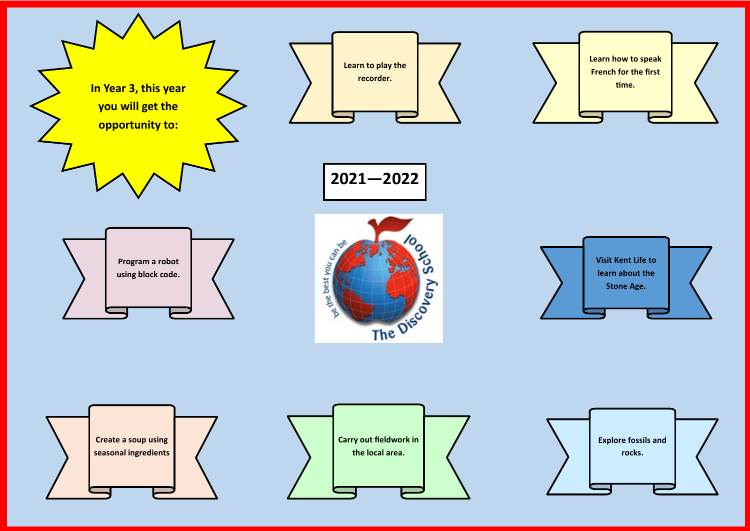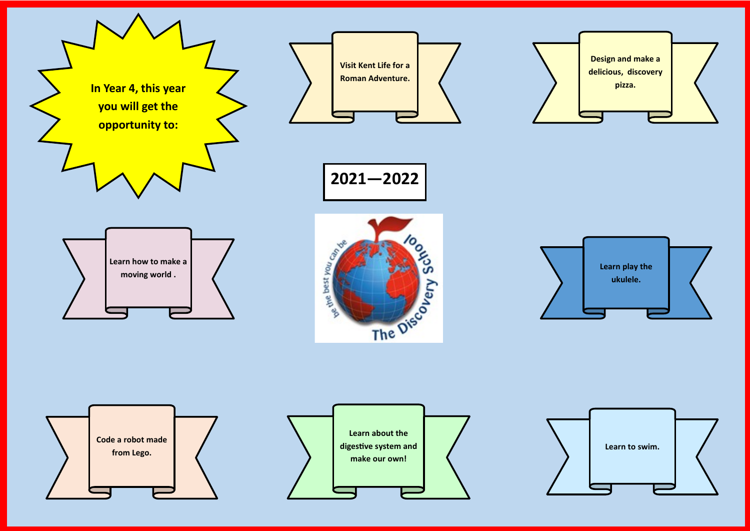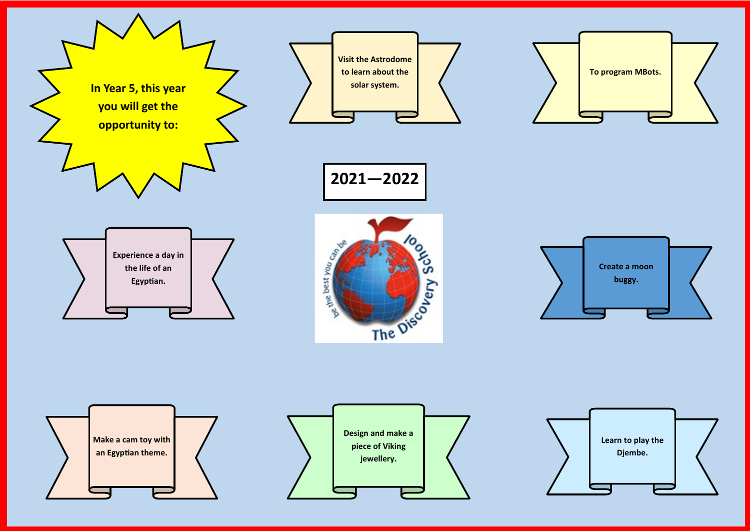